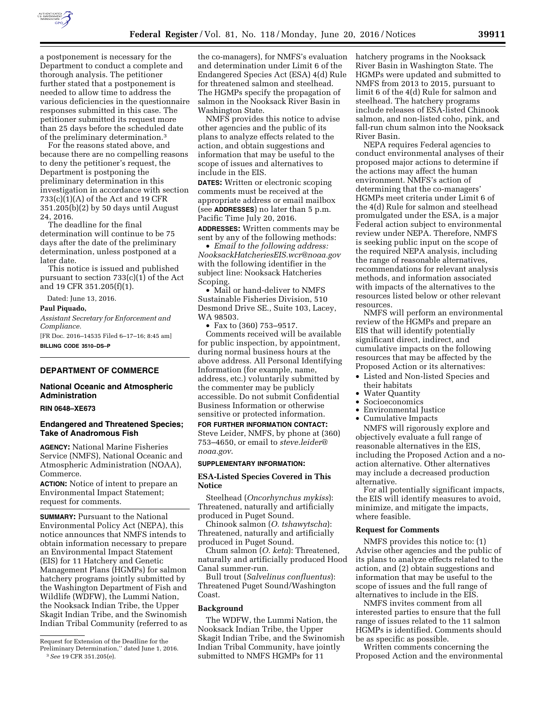

a postponement is necessary for the Department to conduct a complete and thorough analysis. The petitioner further stated that a postponement is needed to allow time to address the various deficiencies in the questionnaire responses submitted in this case. The petitioner submitted its request more than 25 days before the scheduled date of the preliminary determination.3

For the reasons stated above, and because there are no compelling reasons to deny the petitioner's request, the Department is postponing the preliminary determination in this investigation in accordance with section 733(c)(1)(A) of the Act and 19 CFR 351.205(b)(2) by 50 days until August 24, 2016.

The deadline for the final determination will continue to be 75 days after the date of the preliminary determination, unless postponed at a later date.

This notice is issued and published pursuant to section 733(c)(1) of the Act and 19 CFR 351.205(f)(1).

Dated: June 13, 2016.

# **Paul Piquado,**

*Assistant Secretary for Enforcement and Compliance.* 

[FR Doc. 2016–14535 Filed 6–17–16; 8:45 am] **BILLING CODE 3510–DS–P** 

#### **DEPARTMENT OF COMMERCE**

# **National Oceanic and Atmospheric Administration**

#### **RIN 0648–XE673**

# **Endangered and Threatened Species; Take of Anadromous Fish**

**AGENCY:** National Marine Fisheries Service (NMFS), National Oceanic and Atmospheric Administration (NOAA), Commerce.

**ACTION:** Notice of intent to prepare an Environmental Impact Statement; request for comments.

**SUMMARY:** Pursuant to the National Environmental Policy Act (NEPA), this notice announces that NMFS intends to obtain information necessary to prepare an Environmental Impact Statement (EIS) for 11 Hatchery and Genetic Management Plans (HGMPs) for salmon hatchery programs jointly submitted by the Washington Department of Fish and Wildlife (WDFW), the Lummi Nation, the Nooksack Indian Tribe, the Upper Skagit Indian Tribe, and the Swinomish Indian Tribal Community (referred to as

the co-managers), for NMFS's evaluation and determination under Limit 6 of the Endangered Species Act (ESA) 4(d) Rule for threatened salmon and steelhead. The HGMPs specify the propagation of salmon in the Nooksack River Basin in Washington State.

NMFS provides this notice to advise other agencies and the public of its plans to analyze effects related to the action, and obtain suggestions and information that may be useful to the scope of issues and alternatives to include in the EIS.

**DATES:** Written or electronic scoping comments must be received at the appropriate address or email mailbox (see **ADDRESSES**) no later than 5 p.m. Pacific Time July 20, 2016.

**ADDRESSES:** Written comments may be sent by any of the following methods:

• *Email to the following address: [NooksackHatcheriesEIS.wcr@noaa.gov](mailto:NooksackHatcheriesEIS.wcr@noaa.gov)*  with the following identifier in the subject line: Nooksack Hatcheries Scoping.

• Mail or hand-deliver to NMFS Sustainable Fisheries Division, 510 Desmond Drive SE., Suite 103, Lacey, WA 98503.

• Fax to (360) 753–9517.

Comments received will be available for public inspection, by appointment, during normal business hours at the above address. All Personal Identifying Information (for example, name, address, etc.) voluntarily submitted by the commenter may be publicly accessible. Do not submit Confidential Business Information or otherwise sensitive or protected information.

**FOR FURTHER INFORMATION CONTACT:**  Steve Leider, NMFS, by phone at (360) 753–4650, or email to *[steve.leider@](mailto:steve.leider@noaa.gov) [noaa.gov](mailto:steve.leider@noaa.gov)*.

# **SUPPLEMENTARY INFORMATION:**

## **ESA-Listed Species Covered in This Notice**

Steelhead (*Oncorhynchus mykiss*): Threatened, naturally and artificially produced in Puget Sound.

Chinook salmon (*O. tshawytscha*): Threatened, naturally and artificially produced in Puget Sound.

Chum salmon (*O. keta*): Threatened, naturally and artificially produced Hood Canal summer-run.

Bull trout (*Salvelinus confluentus*): Threatened Puget Sound/Washington Coast.

## **Background**

The WDFW, the Lummi Nation, the Nooksack Indian Tribe, the Upper Skagit Indian Tribe, and the Swinomish Indian Tribal Community, have jointly submitted to NMFS HGMPs for 11

hatchery programs in the Nooksack River Basin in Washington State. The HGMPs were updated and submitted to NMFS from 2013 to 2015, pursuant to limit 6 of the 4(d) Rule for salmon and steelhead. The hatchery programs include releases of ESA-listed Chinook salmon, and non-listed coho, pink, and fall-run chum salmon into the Nooksack River Basin.

NEPA requires Federal agencies to conduct environmental analyses of their proposed major actions to determine if the actions may affect the human environment. NMFS's action of determining that the co-managers' HGMPs meet criteria under Limit 6 of the 4(d) Rule for salmon and steelhead promulgated under the ESA, is a major Federal action subject to environmental review under NEPA. Therefore, NMFS is seeking public input on the scope of the required NEPA analysis, including the range of reasonable alternatives, recommendations for relevant analysis methods, and information associated with impacts of the alternatives to the resources listed below or other relevant resources.

NMFS will perform an environmental review of the HGMPs and prepare an EIS that will identify potentially significant direct, indirect, and cumulative impacts on the following resources that may be affected by the Proposed Action or its alternatives:

- Listed and Non-listed Species and their habitats
- Water Quantity
- Socioeconomics
- Environmental Justice
- Cumulative Impacts

NMFS will rigorously explore and objectively evaluate a full range of reasonable alternatives in the EIS, including the Proposed Action and a noaction alternative. Other alternatives may include a decreased production alternative.

For all potentially significant impacts, the EIS will identify measures to avoid, minimize, and mitigate the impacts, where feasible.

## **Request for Comments**

NMFS provides this notice to: (1) Advise other agencies and the public of its plans to analyze effects related to the action, and (2) obtain suggestions and information that may be useful to the scope of issues and the full range of alternatives to include in the EIS.

NMFS invites comment from all interested parties to ensure that the full range of issues related to the 11 salmon HGMPs is identified. Comments should be as specific as possible.

Written comments concerning the Proposed Action and the environmental

Request for Extension of the Deadline for the Preliminary Determination,'' dated June 1, 2016.

<sup>3</sup>*See* 19 CFR 351.205(e).